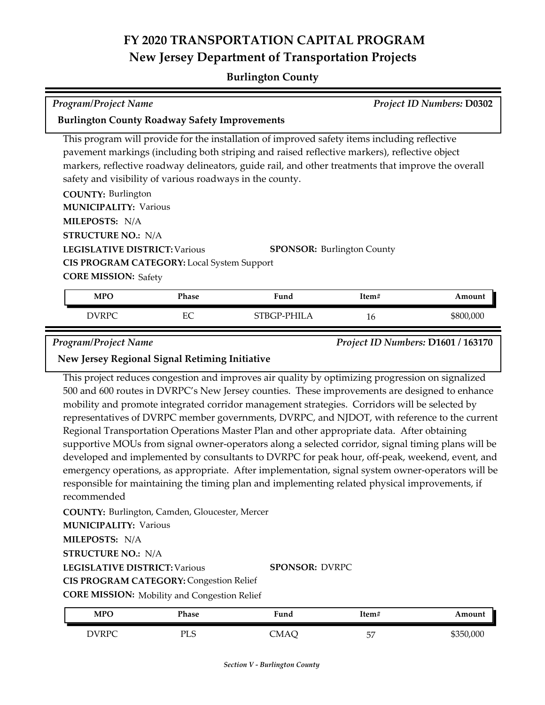## **FY 2020 TRANSPORTATION CAPITAL PROGRAM New Jersey Department of Transportation Projects**

### **Burlington County**

| <b>Program/Project Name</b>                                                                                                                                                                                                                                                                                                                                    |              |                                                                                                                                                                                                   |                                    | <b>Project ID Numbers: D0302</b> |
|----------------------------------------------------------------------------------------------------------------------------------------------------------------------------------------------------------------------------------------------------------------------------------------------------------------------------------------------------------------|--------------|---------------------------------------------------------------------------------------------------------------------------------------------------------------------------------------------------|------------------------------------|----------------------------------|
| <b>Burlington County Roadway Safety Improvements</b>                                                                                                                                                                                                                                                                                                           |              |                                                                                                                                                                                                   |                                    |                                  |
| This program will provide for the installation of improved safety items including reflective<br>pavement markings (including both striping and raised reflective markers), reflective object<br>markers, reflective roadway delineators, guide rail, and other treatments that improve the overall<br>safety and visibility of various roadways in the county. |              |                                                                                                                                                                                                   |                                    |                                  |
| <b>COUNTY: Burlington</b><br><b>MUNICIPALITY: Various</b><br>MILEPOSTS: N/A<br><b>STRUCTURE NO.: N/A</b><br><b>LEGISLATIVE DISTRICT: Various</b><br><b>SPONSOR: Burlington County</b>                                                                                                                                                                          |              |                                                                                                                                                                                                   |                                    |                                  |
| <b>CIS PROGRAM CATEGORY:</b> Local System Support<br><b>CORE MISSION: Safety</b>                                                                                                                                                                                                                                                                               |              |                                                                                                                                                                                                   |                                    |                                  |
| <b>MPO</b>                                                                                                                                                                                                                                                                                                                                                     | <b>Phase</b> | Fund                                                                                                                                                                                              | Item#                              | Amount                           |
| <b>DVRPC</b>                                                                                                                                                                                                                                                                                                                                                   | EC           | STBGP-PHILA                                                                                                                                                                                       | 16                                 | \$800,000                        |
| <b>Program/Project Name</b><br>New Jersey Regional Signal Retiming Initiative                                                                                                                                                                                                                                                                                  |              |                                                                                                                                                                                                   | Project ID Numbers: D1601 / 163170 |                                  |
|                                                                                                                                                                                                                                                                                                                                                                |              | This project reduces congestion and improves air quality by optimizing progression on signalized<br>500 and 600 routes in DVRPC's New Jersey counties. These improvements are designed to enhance |                                    |                                  |

500 and 600 routes in DVRPC's New Jersey counties. These improvements are designed to enhance mobility and promote integrated corridor management strategies. Corridors will be selected by representatives of DVRPC member governments, DVRPC, and NJDOT, with reference to the current Regional Transportation Operations Master Plan and other appropriate data. After obtaining supportive MOUs from signal owner-operators along a selected corridor, signal timing plans will be developed and implemented by consultants to DVRPC for peak hour, off-peak, weekend, event, and emergency operations, as appropriate. After implementation, signal system owner-operators will be responsible for maintaining the timing plan and implementing related physical improvements, if recommended

**COUNTY:** Burlington, Camden, Gloucester, Mercer

**MUNICIPALITY: Various** 

**MILEPOSTS:** N/A

**STRUCTURE NO.:** N/A

**LEGISLATIVE DISTRICT:** Various

**SPONSOR:** DVRPC

**CIS PROGRAM CATEGORY:** Congestion Relief

**CORE MISSION:** Mobility and Congestion Relief

| <b>MPC</b>   | Phase                      | Fund | Item#   | Amount    |
|--------------|----------------------------|------|---------|-----------|
| <b>DVRPC</b> | DТ<br>$\sqrt{2}$<br>ں ہا ہ | CMAC | 57<br>ັ | \$350,000 |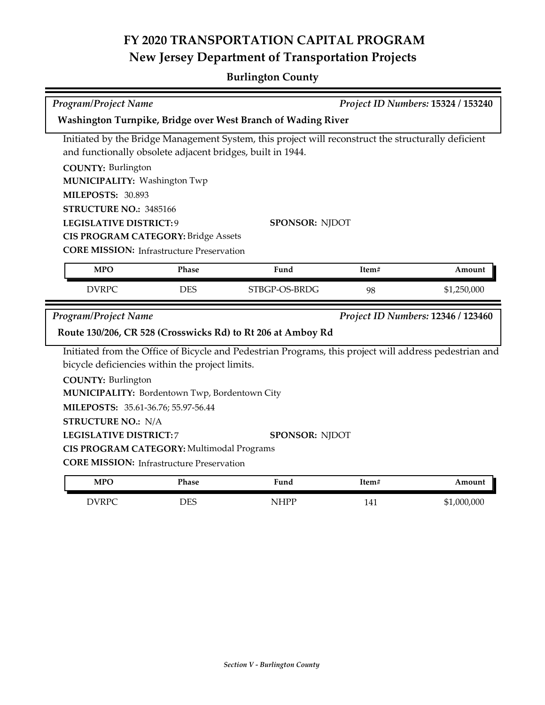# **FY 2020 TRANSPORTATION CAPITAL PROGRAM New Jersey Department of Transportation Projects**

## **Burlington County**

| Program/Project Name                                                                                |                   |                                                                                                        | Project ID Numbers: 15324 / 153240 |             |  |  |
|-----------------------------------------------------------------------------------------------------|-------------------|--------------------------------------------------------------------------------------------------------|------------------------------------|-------------|--|--|
| Washington Turnpike, Bridge over West Branch of Wading River                                        |                   |                                                                                                        |                                    |             |  |  |
| Initiated by the Bridge Management System, this project will reconstruct the structurally deficient |                   |                                                                                                        |                                    |             |  |  |
| and functionally obsolete adjacent bridges, built in 1944.                                          |                   |                                                                                                        |                                    |             |  |  |
| <b>COUNTY: Burlington</b>                                                                           |                   |                                                                                                        |                                    |             |  |  |
| MUNICIPALITY: Washington Twp                                                                        |                   |                                                                                                        |                                    |             |  |  |
|                                                                                                     | MILEPOSTS: 30.893 |                                                                                                        |                                    |             |  |  |
| STRUCTURE NO.: 3485166                                                                              |                   |                                                                                                        |                                    |             |  |  |
| <b>LEGISLATIVE DISTRICT:9</b>                                                                       |                   | SPONSOR: NJDOT                                                                                         |                                    |             |  |  |
| <b>CIS PROGRAM CATEGORY: Bridge Assets</b>                                                          |                   |                                                                                                        |                                    |             |  |  |
| <b>CORE MISSION: Infrastructure Preservation</b>                                                    |                   |                                                                                                        |                                    |             |  |  |
| <b>MPO</b>                                                                                          | Phase             | Fund                                                                                                   | Item#                              | Amount      |  |  |
| <b>DVRPC</b>                                                                                        | <b>DES</b>        | STBGP-OS-BRDG                                                                                          | 98                                 | \$1,250,000 |  |  |
| Project ID Numbers: 12346 / 123460<br><b>Program/Project Name</b>                                   |                   |                                                                                                        |                                    |             |  |  |
|                                                                                                     |                   | Route 130/206, CR 528 (Crosswicks Rd) to Rt 206 at Amboy Rd                                            |                                    |             |  |  |
|                                                                                                     |                   | Initiated from the Office of Bicycle and Pedestrian Programs, this project will address pedestrian and |                                    |             |  |  |
| bicycle deficiencies within the project limits.                                                     |                   |                                                                                                        |                                    |             |  |  |
| <b>COUNTY: Burlington</b>                                                                           |                   |                                                                                                        |                                    |             |  |  |
| MUNICIPALITY: Bordentown Twp, Bordentown City                                                       |                   |                                                                                                        |                                    |             |  |  |
| MILEPOSTS: 35.61-36.76; 55.97-56.44                                                                 |                   |                                                                                                        |                                    |             |  |  |
| <b>STRUCTURE NO.: N/A</b>                                                                           |                   |                                                                                                        |                                    |             |  |  |
| <b>LEGISLATIVE DISTRICT:7</b><br><b>SPONSOR: NJDOT</b>                                              |                   |                                                                                                        |                                    |             |  |  |
| CIS PROGRAM CATEGORY: Multimodal Programs                                                           |                   |                                                                                                        |                                    |             |  |  |
| <b>CORE MISSION:</b> Infrastructure Preservation                                                    |                   |                                                                                                        |                                    |             |  |  |
| <b>MPO</b>                                                                                          | Phase             | Fund                                                                                                   | Item#                              | Amount      |  |  |
| <b>DVRPC</b>                                                                                        | <b>DES</b>        | <b>NHPP</b>                                                                                            | 141                                | \$1,000,000 |  |  |
|                                                                                                     |                   |                                                                                                        |                                    |             |  |  |